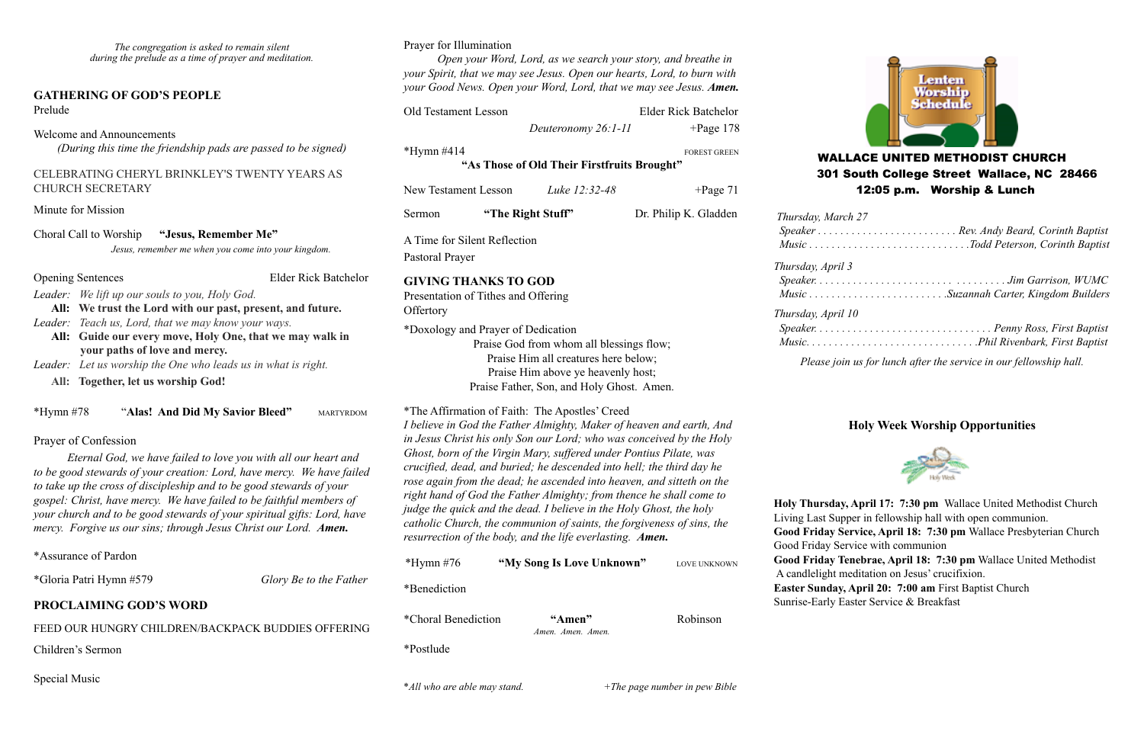*The congregation is asked to remain silent during the prelude as a time of prayer and meditation.*

### **GATHERING OF GOD'S PEOPLE**  Prelude

Welcome and Announcements

*(During this time the friendship pads are passed to be signed)*

### CELEBRATING CHERYL BRINKLEY'S TWENTY YEARS AS CHURCH SECRETARY

Minute for Mission

Choral Call to Worship **"Jesus, Remember Me"**

 *Jesus, remember me when you come into your kingdom.*

Opening Sentences Elder Rick Batchelor

- *Leader: We lift up our souls to you, Holy God.*
- **All: We trust the Lord with our past, present, and future.**
- *Leader: Teach us, Lord, that we may know your ways.*
- **All: Guide our every move, Holy One, that we may walk in your paths of love and mercy.** *Leader: Let us worship the One who leads us in what is right.*
	- **All: Together, let us worship God!**

| $*Hvmn #78$ |  | "Alas! And Did My Savior Bleed" | <b>MARTYRDOM</b> |
|-------------|--|---------------------------------|------------------|
|             |  |                                 |                  |

## Prayer of Confession

*Eternal God, we have failed to love you with all our heart and to be good stewards of your creation: Lord, have mercy. We have failed to take up the cross of discipleship and to be good stewards of your gospel: Christ, have mercy. We have failed to be faithful members of your church and to be good stewards of your spiritual gifts: Lord, have mercy. Forgive us our sins; through Jesus Christ our Lord. Amen.*

\*Assurance of Pardon

\*Gloria Patri Hymn #579 *Glory Be to the Father*

## **PROCLAIMING GOD'S WORD**

FEED OUR HUNGRY CHILDREN/BACKPACK BUDDIES OFFERING

Children's Sermon

| $*Hymn \#76$               | "My Song Is Love Unknown"   | <b>LOVE UNKNOWN</b> |
|----------------------------|-----------------------------|---------------------|
| *Benediction               |                             |                     |
| <i>*Choral Benediction</i> | "Amen"<br>Amen. Amen. Amen. | Robinson            |
| *Postlude                  |                             |                     |

Special Music

### Prayer for Illumination

*Open your Word, Lord, as we search your story, and breathe in your Spirit, that we may see Jesus. Open our hearts, Lord, to burn with your Good News. Open your Word, Lord, that we may see Jesus. Amen.*

| Thursday, March.<br>Speaker<br>$Music \ldots \ldots$ |
|------------------------------------------------------|
| Thursday, April 3                                    |
| Speaker.                                             |
| $Music \dots \dots$                                  |
| Thursday, April 10                                   |



| <b>Old Testament Lesson</b>                                                                                                                                                                                                                                                                                                                                                                                                                                                                                                                                                                                                                                                                                 | Deuteronomy 26:1-11                                                                                                                                                 | <b>Elder Rick Batchelor</b><br>$+Page 178$ |
|-------------------------------------------------------------------------------------------------------------------------------------------------------------------------------------------------------------------------------------------------------------------------------------------------------------------------------------------------------------------------------------------------------------------------------------------------------------------------------------------------------------------------------------------------------------------------------------------------------------------------------------------------------------------------------------------------------------|---------------------------------------------------------------------------------------------------------------------------------------------------------------------|--------------------------------------------|
| *Hymn $#414$                                                                                                                                                                                                                                                                                                                                                                                                                                                                                                                                                                                                                                                                                                | "As Those of Old Their Firstfruits Brought"                                                                                                                         | <b>FOREST GREEN</b>                        |
| New Testament Lesson                                                                                                                                                                                                                                                                                                                                                                                                                                                                                                                                                                                                                                                                                        | Luke 12:32-48                                                                                                                                                       | $+Page 71$                                 |
| Sermon                                                                                                                                                                                                                                                                                                                                                                                                                                                                                                                                                                                                                                                                                                      | "The Right Stuff"                                                                                                                                                   | Dr. Philip K. Gladden                      |
| A Time for Silent Reflection<br>Pastoral Prayer                                                                                                                                                                                                                                                                                                                                                                                                                                                                                                                                                                                                                                                             |                                                                                                                                                                     |                                            |
| <b>GIVING THANKS TO GOD</b><br>Presentation of Tithes and Offering<br>Offertory                                                                                                                                                                                                                                                                                                                                                                                                                                                                                                                                                                                                                             |                                                                                                                                                                     |                                            |
| *Doxology and Prayer of Dedication                                                                                                                                                                                                                                                                                                                                                                                                                                                                                                                                                                                                                                                                          | Praise God from whom all blessings flow;<br>Praise Him all creatures here below;<br>Praise Him above ye heavenly host;<br>Praise Father, Son, and Holy Ghost. Amen. |                                            |
| *The Affirmation of Faith: The Apostles' Creed<br>I believe in God the Father Almighty, Maker of heaven and earth, And<br>in Jesus Christ his only Son our Lord; who was conceived by the Holy<br>Ghost, born of the Virgin Mary, suffered under Pontius Pilate, was<br>crucified, dead, and buried; he descended into hell; the third day he<br>rose again from the dead; he ascended into heaven, and sitteth on the<br>right hand of God the Father Almighty; from thence he shall come to<br>judge the quick and the dead. I believe in the Holy Ghost, the holy<br>catholic Church, the communion of saints, the forgiveness of sins, the<br>resurrection of the body, and the life everlasting. Amen. |                                                                                                                                                                     |                                            |
| $*Hvmn$ #76                                                                                                                                                                                                                                                                                                                                                                                                                                                                                                                                                                                                                                                                                                 | "My Song Is Love Unknown"                                                                                                                                           | LOVE UNKNOWN                               |

# WALLACE UNITED METHODIST CHURCH 301 South College Street Wallace, NC 28466 12:05 p.m. Worship & Lunch

| $\ldots$           |                                         |
|--------------------|-----------------------------------------|
|                    |                                         |
|                    |                                         |
| Thursday, April 3  |                                         |
|                    |                                         |
|                    | Music Suzannah Carter, Kingdom Builders |
| Thursday, April 10 |                                         |
|                    |                                         |
|                    |                                         |

*Please join us for lunch after the service in our fellowship hall.*

# **Holy Week Worship Opportunities**



**Holy Thursday, April 17: 7:30 pm** Wallace United Methodist Church Living Last Supper in fellowship hall with open communion.

**Good Friday Service, April 18: 7:30 pm** Wallace Presbyterian Church Good Friday Service with communion

**Good Friday Tenebrae, April 18: 7:30 pm** Wallace United Methodist A candlelight meditation on Jesus' crucifixion.

**Easter Sunday, April 20: 7:00 am** First Baptist Church Sunrise-Early Easter Service & Breakfast